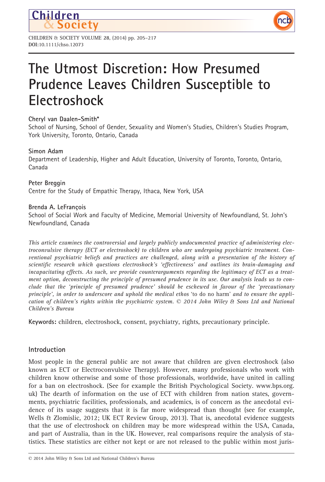

CHILDREN & SOCIETY VOLUME 28, (2014) pp. 205–217 DOI:10.1111/chso.12073

# The Utmost Discretion: How Presumed Prudence Leaves Children Susceptible to Electroshock

nc

# Cheryl van Daalen-Smith\*

School of Nursing, School of Gender, Sexuality and Women's Studies, Children's Studies Program, York University, Toronto, Ontario, Canada

# Simon Adam

Department of Leadership, Higher and Adult Education, University of Toronto, Toronto, Ontario, Canada

## Peter Breggin

Centre for the Study of Empathic Therapy, Ithaca, New York, USA

# Brenda A. LeFrancois

School of Social Work and Faculty of Medicine, Memorial University of Newfoundland, St. John's Newfoundland, Canada

This article examines the controversial and largely publicly undocumented practice of administering electroconvulsive therapy (ECT or electroshock) to children who are undergoing psychiatric treatment. Conventional psychiatric beliefs and practices are challenged, along with a presentation of the history of scientific research which questions electroshock's 'effectiveness' and outlines its brain-damaging and incapacitating effects. As such, we provide counterarguments regarding the legitimacy of ECT as a treatment option, deconstructing the principle of presumed prudence in its use. Our analysis leads us to conclude that the 'principle of presumed prudence' should be eschewed in favour of the 'precautionary principle', in order to underscore and uphold the medical ethos 'to do no harm' and to ensure the application of children's rights within the psychiatric system. © 2014 John Wiley & Sons Ltd and National Children's Bureau

Keywords: children, electroshock, consent, psychiatry, rights, precautionary principle.

# Introduction

Most people in the general public are not aware that children are given electroshock (also known as ECT or Electroconvulsive Therapy). However, many professionals who work with children know otherwise and some of those professionals, worldwide, have united in calling for a ban on electroshock. (See for example the British Psychological Society. www.bps.org. uk) The dearth of information on the use of ECT with children from nation states, governments, psychiatric facilities, professionals, and academics, is of concern as the anecdotal evidence of its usage suggests that it is far more widespread than thought (see for example, Wells & Zlomislic, 2012; UK ECT Review Group, 2013). That is, anecdotal evidence suggests that the use of electroshock on children may be more widespread within the USA, Canada, and part of Australia, than in the UK. However, real comparisons require the analysis of statistics. These statistics are either not kept or are not released to the public within most juris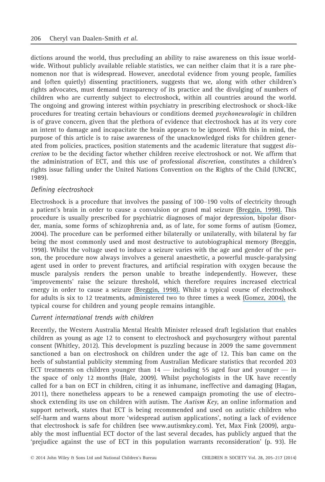dictions around the world, thus precluding an ability to raise awareness on this issue worldwide. Without publicly available reliable statistics, we can neither claim that it is a rare phenomenon nor that is widespread. However, anecdotal evidence from young people, families and (often quietly) dissenting practitioners, suggests that we, along with other children's rights advocates, must demand transparency of its practice and the divulging of numbers of children who are currently subject to electroshock, within all countries around the world. The ongoing and growing interest within psychiatry in prescribing electroshock or shock-like procedures for treating certain behaviours or conditions deemed psychoneurologic in children is of grave concern, given that the plethora of evidence that electroshock has at its very core an intent to damage and incapacitate the brain appears to be ignored. With this in mind, the purpose of this article is to raise awareness of the unacknowledged risks for children generated from policies, practices, position statements and the academic literature that suggest discretion to be the deciding factor whether children receive electroshock or not. We affirm that the administration of ECT, and this use of professional discretion, constitutes a children's rights issue falling under the United Nations Convention on the Rights of the Child (UNCRC, 1989).

## Defining electroshock

Electroshock is a procedure that involves the passing of 100–190 volts of electricity through a patient's brain in order to cause a convulsion or grand mal seizure [\(Breggin, 1998\).](https://www.researchgate.net/publication/241247117_Electroshock_Scientific_ethical_and_political_issues?el=1_x_8&enrichId=rgreq-ae88d2f1933329d87170e14eb7f06ba8-XXX&enrichSource=Y292ZXJQYWdlOzI2MTcxOTc3NztBUzoxOTM4MzkwODA5NzIyOTFAMTQyMzIyNjI0NjU1OQ==) This procedure is usually prescribed for psychiatric diagnoses of major depression, bipolar disorder, mania, some forms of schizophrenia and, as of late, for some forms of autism (Gomez, 2004). The procedure can be performed either bilaterally or unilaterally, with bilateral by far being the most commonly used and most destructive to autobiographical memory (Breggin, 1998). Whilst the voltage used to induce a seizure varies with the age and gender of the person, the procedure now always involves a general anaesthetic, a powerful muscle-paralysing agent used in order to prevent fractures, and artificial respiration with oxygen because the muscle paralysis renders the person unable to breathe independently. However, these 'improvements' raise the seizure threshold, which therefore requires increased electrical energy in order to cause a seizure [\(Breggin, 1998\).](https://www.researchgate.net/publication/241247117_Electroshock_Scientific_ethical_and_political_issues?el=1_x_8&enrichId=rgreq-ae88d2f1933329d87170e14eb7f06ba8-XXX&enrichSource=Y292ZXJQYWdlOzI2MTcxOTc3NztBUzoxOTM4MzkwODA5NzIyOTFAMTQyMzIyNjI0NjU1OQ==) Whilst a typical course of electroshock for adults is six to 12 treatments, administered two to three times a week [\(Gomez, 2004\),](https://www.researchgate.net/publication/8502907_Electroconvulsive_Therapy_Present_and_Future?el=1_x_8&enrichId=rgreq-ae88d2f1933329d87170e14eb7f06ba8-XXX&enrichSource=Y292ZXJQYWdlOzI2MTcxOTc3NztBUzoxOTM4MzkwODA5NzIyOTFAMTQyMzIyNjI0NjU1OQ==) the typical course for children and young people remains intangible.

## Current international trends with children

Recently, the Western Australia Mental Health Minister released draft legislation that enables children as young as age 12 to consent to electroshock and psychosurgery without parental consent (Whitley, 2012). This development is puzzling because in 2009 the same government sanctioned a ban on electroshock on children under the age of 12. This ban came on the heels of substantial publicity stemming from Australian Medicare statistics that recorded 203 ECT treatments on children younger than  $14$  — including 55 aged four and younger — in the space of only 12 months (Hale, 2009). Whilst psychologists in the UK have recently called for a ban on ECT in children, citing it as inhumane, ineffective and damaging (Hagan, 2011), there nonetheless appears to be a renewed campaign promoting the use of electroshock extending its use on children with autism. The Autism Key, an online information and support network, states that ECT is being recommended and used on autistic children who self-harm and warns about more 'widespread autism applications', noting a lack of evidence that electroshock is safe for children (see www.autismkey.com). Yet, Max Fink (2009), arguably the most influential ECT doctor of the last several decades, has publicly argued that the 'prejudice against the use of ECT in this population warrants reconsideration' (p. 93). He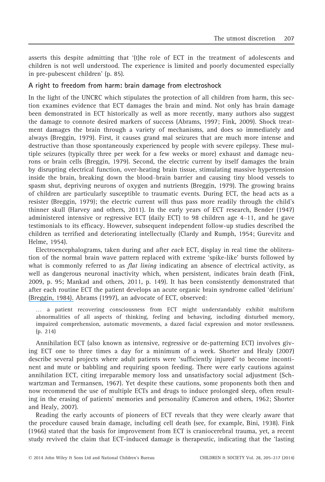asserts this despite admitting that '(t)he role of ECT in the treatment of adolescents and children is not well understood. The experience is limited and poorly documented especially in pre-pubescent children' (p. 85).

## A right to freedom from harm: brain damage from electroshock

In the light of the UNCRC which stipulates the protection of all children from harm, this section examines evidence that ECT damages the brain and mind. Not only has brain damage been demonstrated in ECT historically as well as more recently, many authors also suggest the damage to connote desired markers of success (Abrams, 1997; Fink, 2009). Shock treatment damages the brain through a variety of mechanisms, and does so immediately and always (Breggin, 1979). First, it causes grand mal seizures that are much more intense and destructive than those spontaneously experienced by people with severe epilepsy. These multiple seizures (typically three per week for a few weeks or more) exhaust and damage neurons or brain cells (Breggin, 1979). Second, the electric current by itself damages the brain by disrupting electrical function, over-heating brain tissue, stimulating massive hypertension inside the brain, breaking down the blood–brain barrier and causing tiny blood vessels to spasm shut, depriving neurons of oxygen and nutrients (Breggin, 1979). The growing brains of children are particularly susceptible to traumatic events. During ECT, the head acts as a resister (Breggin, 1979); the electric current will thus pass more readily through the child's thinner skull (Harvey and others, 2011). In the early years of ECT research, Bender (1947) administered intensive or regressive ECT (daily ECT) to 98 children age 4–11, and he gave testimonials to its efficacy. However, subsequent independent follow-up studies described the children as terrified and deteriorating intellectually (Clardy and Rumph, 1954; Gurevitz and Helme, 1954).

Electroencephalograms, taken during and after each ECT, display in real time the obliteration of the normal brain wave pattern replaced with extreme 'spike-like' bursts followed by what is commonly referred to as *flat lining* indicating an absence of electrical activity, as well as dangerous neuronal inactivity which, when persistent, indicates brain death (Fink, 2009, p. 95; Mankad and others, 2011, p. 149). It has been consistently demonstrated that after each routine ECT the patient develops an acute organic brain syndrome called 'delirium' [\(Breggin, 1984\).](https://www.researchgate.net/publication/231979013_Electroshock_therapy_and_brain_damage_The_acute_organic_brain_syndrome_as_treatment?el=1_x_8&enrichId=rgreq-ae88d2f1933329d87170e14eb7f06ba8-XXX&enrichSource=Y292ZXJQYWdlOzI2MTcxOTc3NztBUzoxOTM4MzkwODA5NzIyOTFAMTQyMzIyNjI0NjU1OQ==) Abrams (1997), an advocate of ECT, observed:

… a patient recovering consciousness from ECT might understandably exhibit multiform abnormalities of all aspects of thinking, feeling and behaving, including disturbed memory, impaired comprehension, automatic movements, a dazed facial expression and motor restlessness. (p. 214)

Annihilation ECT (also known as intensive, regressive or de-patterning ECT) involves giving ECT one to three times a day for a minimum of a week. Shorter and Healy (2007) describe several projects where adult patients were 'sufficiently injured' to become incontinent and mute or babbling and requiring spoon feeding. There were early cautions against annihilation ECT, citing irreparable memory loss and unsatisfactory social adjustment (Schwartzman and Termansen, 1967). Yet despite these cautions, some proponents both then and now recommend the use of multiple ECTs and drugs to induce prolonged sleep, often resulting in the erasing of patients' memories and personality (Cameron and others, 1962; Shorter and Healy, 2007).

Reading the early accounts of pioneers of ECT reveals that they were clearly aware that the procedure caused brain damage, including cell death (see, for example, Bini, 1938). Fink (1966) stated that the basis for improvement from ECT is craniocerebral trauma, yet, a recent study revived the claim that ECT-induced damage is therapeutic, indicating that the 'lasting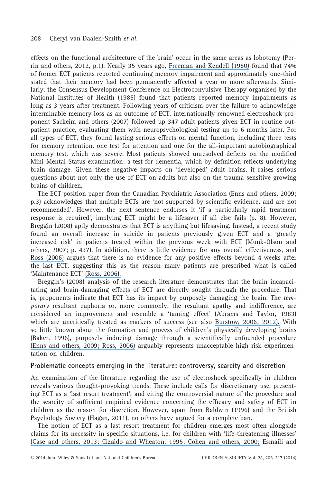effects on the functional architecture of the brain' occur in the same areas as lobotomy (Perrin and others, 2012, p.1). Nearly 35 years ago, [Freeman and Kendell \(1980\)](https://www.researchgate.net/publication/15738646_ECT_I_Patients) found that 74% of former ECT patients reported continuing memory impairment and approximately one-third stated that their memory had been permanently affected a year or more afterwards. Similarly, the Consensus Development Conference on Electroconvulsive Therapy organised by the National Institutes of Health (1985) found that patients reported memory impairments as long as 3 years after treatment. Following years of criticism over the failure to acknowledge interminable memory loss as an outcome of ECT, internationally renowned electroshock proponent Sackeim and others (2007) followed up 347 adult patients given ECT in routine outpatient practice, evaluating them with neuropsychological testing up to 6 months later. For all types of ECT, they found lasting serious effects on mental function, including three tests for memory retention, one test for attention and one for the all-important autobiographical memory test, which was severe. Most patients showed unresolved deficits on the modified Mini-Mental Status examination: a test for dementia, which by definition reflects underlying brain damage. Given these negative impacts on 'developed' adult brains, it raises serious questions about not only the use of ECT on adults but also on the trauma-sensitive growing brains of children.

The ECT position paper from the Canadian Psychiatric Association (Enns and others, 2009; p.3) acknowledges that multiple ECTs are 'not supported by scientific evidence, and are not recommended'. However, the next sentence endorses it 'if a particularly rapid treatment response is required', implying ECT might be a lifesaver if all else fails (p. 8). However, Breggin (2008) aptly demonstrates that ECT is anything but lifesaving. Instead, a recent study found an overall increase in suicide in patients previously given ECT and a 'greatly increased risk' in patients treated within the previous week with ECT (Munk-Olson and others, 2007; p. 437). In addition, there is little evidence for any overall effectiveness, and [Ross \(2006\)](https://www.researchgate.net/publication/6930173_The_sham_ECT_literatures_Implications_for_consent_to_ECT?el=1_x_8&enrichId=rgreq-ae88d2f1933329d87170e14eb7f06ba8-XXX&enrichSource=Y292ZXJQYWdlOzI2MTcxOTc3NztBUzoxOTM4MzkwODA5NzIyOTFAMTQyMzIyNjI0NjU1OQ==) argues that there is no evidence for any positive effects beyond 4 weeks after the last ECT, suggesting this as the reason many patients are prescribed what is called 'Maintenance ECT' [\(Ross, 2006\).](https://www.researchgate.net/publication/6930173_The_sham_ECT_literatures_Implications_for_consent_to_ECT?el=1_x_8&enrichId=rgreq-ae88d2f1933329d87170e14eb7f06ba8-XXX&enrichSource=Y292ZXJQYWdlOzI2MTcxOTc3NztBUzoxOTM4MzkwODA5NzIyOTFAMTQyMzIyNjI0NjU1OQ==)

Breggin's (2008) analysis of the research literature demonstrates that the brain incapacitating and brain-damaging effects of ECT are directly sought through the procedure. That is, proponents indicate that ECT has its impact by purposely damaging the brain. The temporary resultant euphoria or, more commonly, the resultant apathy and indifference, are considered an improvement and resemble a 'taming effect' (Abrams and Taylor, 1983) which are uncritically treated as markers of success (see also [Burstow, 2006; 2012\).](https://www.researchgate.net/publication/7212622_Electroshock_as_a_Form_of_Violence_Against_Women?el=1_x_8&enrichId=rgreq-ae88d2f1933329d87170e14eb7f06ba8-XXX&enrichSource=Y292ZXJQYWdlOzI2MTcxOTc3NztBUzoxOTM4MzkwODA5NzIyOTFAMTQyMzIyNjI0NjU1OQ==) With so little known about the formation and process of children's physically developing brains (Baker, 1996), purposely inducing damage through a scientifically unfounded procedure [\(Enns and others, 2009; Ross, 2006\)](https://www.researchgate.net/publication/6930173_The_sham_ECT_literatures_Implications_for_consent_to_ECT?el=1_x_8&enrichId=rgreq-ae88d2f1933329d87170e14eb7f06ba8-XXX&enrichSource=Y292ZXJQYWdlOzI2MTcxOTc3NztBUzoxOTM4MzkwODA5NzIyOTFAMTQyMzIyNjI0NjU1OQ==) arguably represents unacceptable high risk experimentation on children.

#### Problematic concepts emerging in the literature: controversy, scarcity and discretion

An examination of the literature regarding the use of electroshock specifically in children reveals various thought-provoking trends. These include calls for discretionary use, presenting ECT as a 'last resort treatment', and citing the controversial nature of the procedure and the scarcity of sufficient empirical evidence concerning the efficacy and safety of ECT in children as the reason for discretion. However, apart from Baldwin (1996) and the British Psychology Society (Hagan, 2011), no others have argued for a complete ban.

The notion of ECT as a last resort treatment for children emerges most often alongside claims for its necessity in specific situations, i.e. for children with 'life-threatening illnesses' [\(Case and others, 2013; Cizaldo and Wheaton, 1995; Cohen and others, 2000;](https://www.researchgate.net/publication/232235352_Declining_Use_of_Electroconvulsive_Therapy_in_US_General_Hospitals?el=1_x_8&enrichId=rgreq-ae88d2f1933329d87170e14eb7f06ba8-XXX&enrichSource=Y292ZXJQYWdlOzI2MTcxOTc3NztBUzoxOTM4MzkwODA5NzIyOTFAMTQyMzIyNjI0NjU1OQ==) Esmaili and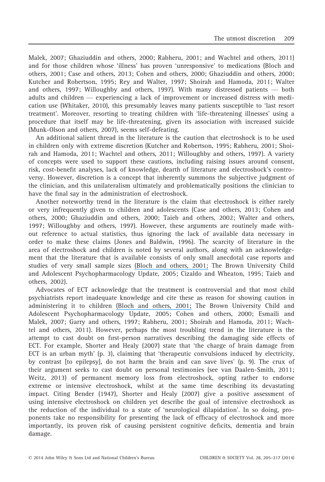Malek, 2007; Ghaziuddin and others, 2000; Rabheru, 2001; and Wachtel and others, 2011) and for those children whose 'illness' has proven 'unresponsive' to medications (Bloch and others, 2001; Case and others, 2013; Cohen and others, 2000; Ghaziuddin and others, 2000; Kutcher and Robertson, 1995; Rey and Walter, 1997; Shoirah and Hamoda, 2011; Walter and others, 1997; Willoughby and others, 1997). With many distressed patients — both adults and children — experiencing a lack of improvement or increased distress with medication use (Whitaker, 2010), this presumably leaves many patients susceptible to 'last resort treatment'. Moreover, resorting to treating children with 'life-threatening illnesses' using a procedure that itself may be life-threatening, given its association with increased suicide (Munk-Olson and others, 2007), seems self-defeating.

An additional salient thread in the literature is the caution that electroshock is to be used in children only with extreme discretion (Kutcher and Robertson, 1995; Rabheru, 2001; Shoirah and Hamoda, 2011; Wachtel and others, 2011; Willoughby and others, 1997). A variety of concepts were used to support these cautions, including raising issues around consent, risk, cost-benefit analyses, lack of knowledge, dearth of literature and electroshock's controversy. However, discretion is a concept that inherently summons the subjective judgment of the clinician, and this unilateralism ultimately and problematically positions the clinician to have the final say in the administration of electroshock.

Another noteworthy trend in the literature is the claim that electroshock is either rarely or very infrequently given to children and adolescents (Case and others, 2013; Cohen and others, 2000; Ghaziuddin and others, 2000; Taieb and others, 2002; Walter and others, 1997; Willoughby and others, 1997). However, these arguments are routinely made without reference to actual statistics, thus ignoring the lack of available data necessary in order to make these claims (Jones and Baldwin, 1996). The scarcity of literature in the area of electroshock and children is noted by several authors, along with an acknowledgement that the literature that is available consists of only small anecdotal case reports and studies of very small sample sizes [\(Bloch and others, 2001;](https://www.researchgate.net/publication/11654371_Electroconvulsive_Therapy_in_Adolescents_Similarities_to_and_Differences_From_Adults?el=1_x_8&enrichId=rgreq-ae88d2f1933329d87170e14eb7f06ba8-XXX&enrichSource=Y292ZXJQYWdlOzI2MTcxOTc3NztBUzoxOTM4MzkwODA5NzIyOTFAMTQyMzIyNjI0NjU1OQ==) The Brown University Child and Adolescent Psychopharmacology Update, 2005; Cizaldo and Wheaton, 1995; Taieb and others, 2002).

Advocates of ECT acknowledge that the treatment is controversial and that most child psychiatrists report inadequate knowledge and cite these as reason for showing caution in administering it to children [\(Bloch and others, 2001;](https://www.researchgate.net/publication/11654371_Electroconvulsive_Therapy_in_Adolescents_Similarities_to_and_Differences_From_Adults?el=1_x_8&enrichId=rgreq-ae88d2f1933329d87170e14eb7f06ba8-XXX&enrichSource=Y292ZXJQYWdlOzI2MTcxOTc3NztBUzoxOTM4MzkwODA5NzIyOTFAMTQyMzIyNjI0NjU1OQ==) The Brown University Child and Adolescent Psychopharmacology Update, 2005; Cohen and others, 2000; Esmaili and Malek, 2007; Garry and others, 1997; Rabheru, 2001; Shoirah and Hamoda, 2011; Wachtel and others, 2011). However, perhaps the most troubling trend in the literature is the attempt to cast doubt on first-person narratives describing the damaging side effects of ECT. For example, Shorter and Healy (2007) state that 'the charge of brain damage from ECT is an urban myth' (p. 3), claiming that 'therapeutic convulsions induced by electricity, by contrast [to epilepsy], do not harm the brain and can save lives' (p. 9). The crux of their argument seeks to cast doubt on personal testimonies (see van Daalen-Smith, 2011; Weitz, 2013) of permanent memory loss from electroshock, opting rather to endorse extreme or intensive electroshock, whilst at the same time describing its devastating impact. Citing Bender (1947), Shorter and Healy (2007) give a positive assessment of using intensive electroshock on children yet describe the goal of intensive electroshock as the reduction of the individual to a state of 'neurological dilapidation'. In so doing, proponents take no responsibility for presenting the lack of efficacy of electroshock and more importantly, its proven risk of causing persistent cognitive deficits, dementia and brain damage.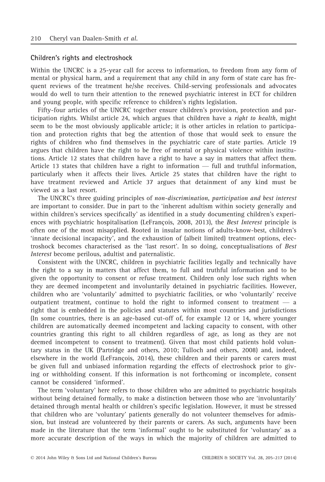#### Children's rights and electroshock

Within the UNCRC is a 25-year call for access to information, to freedom from any form of mental or physical harm, and a requirement that any child in any form of state care has frequent reviews of the treatment he/she receives. Child-serving professionals and advocates would do well to turn their attention to the renewed psychiatric interest in ECT for children and young people, with specific reference to children's rights legislation.

Fifty-four articles of the UNCRC together ensure children's provision, protection and participation rights. Whilst article 24, which argues that children have a right to health, might seem to be the most obviously applicable article; it is other articles in relation to participation and protection rights that beg the attention of those that would seek to ensure the rights of children who find themselves in the psychiatric care of state parties. Article 19 argues that children have the right to be free of mental or physical violence within institutions. Article 12 states that children have a right to have a say in matters that affect them. Article 13 states that children have a right to information — full and truthful information, particularly when it affects their lives. Article 25 states that children have the right to have treatment reviewed and Article 37 argues that detainment of any kind must be viewed as a last resort.

The UNCRC's three guiding principles of non-discrimination, participation and best interest are important to consider. Due in part to the 'inherent adultism within society generally and within children's services specifically' as identified in a study documenting children's experiences with psychiatric hospitalisation (LeFrancois, 2008, 2013), the Best Interest principle is often one of the most misapplied. Rooted in insular notions of adults-know-best, children's 'innate decisional incapacity', and the exhaustion of (albeit limited) treatment options, electroshock becomes characterised as the 'last resort'. In so doing, conceptualisations of Best Interest become perilous, adultist and paternalistic.

Consistent with the UNCRC, children in psychiatric facilities legally and technically have the right to a say in matters that affect them, to full and truthful information and to be given the opportunity to consent or refuse treatment. Children only lose such rights when they are deemed incompetent and involuntarily detained in psychiatric facilities. However, children who are 'voluntarily' admitted to psychiatric facilities, or who 'voluntarily' receive outpatient treatment, continue to hold the right to informed consent to treatment — a right that is embedded in the policies and statutes within most countries and jurisdictions (In some countries, there is an age-based cut-off of, for example 12 or 14, where younger children are automatically deemed incompetent and lacking capacity to consent, with other countries granting this right to all children regardless of age, as long as they are not deemed incompetent to consent to treatment). Given that most child patients hold voluntary status in the UK (Partridge and others, 2010; Tulloch and others, 2008) and, indeed, elsewhere in the world (LeFrancois, 2014), these children and their parents or carers must be given full and unbiased information regarding the effects of electroshock prior to giving or withholding consent. If this information is not forthcoming or incomplete, consent cannot be considered 'informed'.

The term 'voluntary' here refers to those children who are admitted to psychiatric hospitals without being detained formally, to make a distinction between those who are 'involuntarily' detained through mental health or children's specific legislation. However, it must be stressed that children who are 'voluntary' patients generally do not volunteer themselves for admission, but instead are volunteered by their parents or carers. As such, arguments have been made in the literature that the term 'informal' ought to be substituted for 'voluntary' as a more accurate description of the ways in which the majority of children are admitted to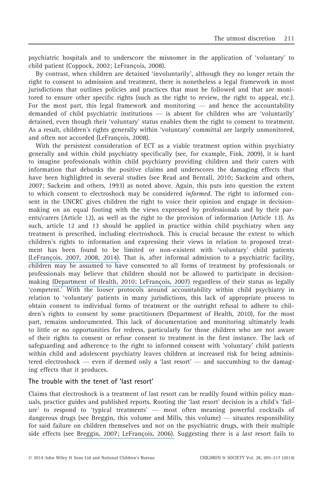psychiatric hospitals and to underscore the misnomer in the application of 'voluntary' to child patient (Coppock, 2002; LeFrancois, 2008).

By contrast, when children are detained 'involuntarily', although they no longer retain the right to consent to admission and treatment, there is nonetheless a legal framework in most jurisdictions that outlines policies and practices that must be followed and that are monitored to ensure other specific rights (such as the right to review, the right to appeal, etc.). For the most part, this legal framework and monitoring — and hence the accountability demanded of child psychiatric institutions — is absent for children who are 'voluntarily' detained, even though their 'voluntary' status enables them the right to consent to treatment. As a result, children's rights generally within 'voluntary' committal are largely unmonitored, and often not accorded (LeFrancois, 2008).

With the persistent consideration of ECT as a viable treatment option within psychiatry generally and within child psychiatry specifically (see, for example, Fink, 2009), it is hard to imagine professionals within child psychiatry providing children and their carers with information that debunks the positive claims and underscores the damaging effects that have been highlighted in several studies (see Read and Bentall, 2010; Sackeim and others, 2007; Sackeim and others, 1993) as noted above. Again, this puts into question the extent to which consent to electroshock may be considered informed. The right to informed consent in the UNCRC gives children the right to voice their opinion and engage in decisionmaking on an equal footing with the views expressed by professionals and by their parents/carers (Article 12), as well as the right to the provision of information (Article 13). As such, article 12 and 13 should be applied in practice within child psychiatry when any treatment is prescribed, including electroshock. This is crucial because the extent to which children's rights to information and expressing their views in relation to proposed treatment has been found to be limited or non-existent with 'voluntary' child patients (LeFranc[ois, 2007, 2008, 2014\).](https://www.researchgate.net/publication/227842389_Children) That is, after informal admission to a psychiatric facility, children may be assumed to have consented to all forms of treatment by professionals or professionals may believe that children should not be allowed to participate in decisionmaking [\(Department of Health, 2010; LeFranc](https://www.researchgate.net/publication/227842389_Children)ois, 2007) regardless of their status as legally 'competent.' With the looser protocols around accountability within child psychiatry in relation to 'voluntary' patients in many jurisdictions, this lack of appropriate process to obtain consent to individual forms of treatment or the outright refusal to adhere to children's rights to consent by some practitioners (Department of Health, 2010), for the most part, remains undocumented. This lack of documentation and monitoring ultimately leads to little or no opportunities for redress, particularly for those children who are not aware of their rights to consent or refuse consent to treatment in the first instance. The lack of safeguarding and adherence to the right to informed consent with 'voluntary' child patients within child and adolescent psychiatry leaves children at increased risk for being administered electroshock — even if deemed only a 'last resort' — and succumbing to the damaging effects that it produces.

## The trouble with the tenet of 'last resort'

Claims that electroshock is a treatment of last resort can be readily found within policy manuals, practice guides and published reports. Rooting the 'last resort' decision in a child's 'failure' to respond to 'typical treatments' — most often meaning powerful cocktails of dangerous drugs (see Breggin, this volume and Mills, this volume) — situates responsibility for said failure on children themselves and not on the psychiatric drugs, with their multiple side effects (see [Breggin, 2007; LeFranc](https://www.researchgate.net/publication/233666672_Intoxication_Anosognosia_The_Spellbinding_Effect_of_Psychiatric_Drugs?el=1_x_8&enrichId=rgreq-ae88d2f1933329d87170e14eb7f06ba8-XXX&enrichSource=Y292ZXJQYWdlOzI2MTcxOTc3NztBUzoxOTM4MzkwODA5NzIyOTFAMTQyMzIyNjI0NjU1OQ==)ois, 2006). Suggesting there is a last resort fails to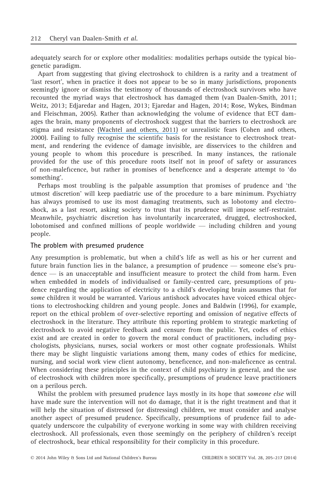adequately search for or explore other modalities: modalities perhaps outside the typical biogenetic paradigm.

Apart from suggesting that giving electroshock to children is a rarity and a treatment of 'last resort', when in practice it does not appear to be so in many jurisdictions, proponents seemingly ignore or dismiss the testimony of thousands of electroshock survivors who have recounted the myriad ways that electroshock has damaged them (van Daalen-Smith, 2011; Weitz, 2013; Edjaredar and Hagen, 2013; Ejaredar and Hagen, 2014; Rose, Wykes, Bindman and Fleischman, 2005). Rather than acknowledging the volume of evidence that ECT damages the brain, many proponents of electroshock suggest that the barriers to electroshock are stigma and resistance [\(Wachtel and others, 2011\)](https://www.researchgate.net/publication/49656633_When_is_electroconvulsive_therapy_appropriate_for_children_and_adolescents?el=1_x_8&enrichId=rgreq-ae88d2f1933329d87170e14eb7f06ba8-XXX&enrichSource=Y292ZXJQYWdlOzI2MTcxOTc3NztBUzoxOTM4MzkwODA5NzIyOTFAMTQyMzIyNjI0NjU1OQ==) or unrealistic fears (Cohen and others, 2000). Failing to fully recognise the scientific basis for the resistance to electroshock treatment, and rendering the evidence of damage invisible, are disservices to the children and young people to whom this procedure is prescribed. In many instances, the rationale provided for the use of this procedure roots itself not in proof of safety or assurances of non-maleficence, but rather in promises of beneficence and a desperate attempt to 'do something'.

Perhaps most troubling is the palpable assumption that promises of prudence and 'the utmost discretion' will keep paediatric use of the procedure to a bare minimum. Psychiatry has always promised to use its most damaging treatments, such as lobotomy and electroshock, as a last resort, asking society to trust that its prudence will impose self-restraint. Meanwhile, psychiatric discretion has involuntarily incarcerated, drugged, electroshocked, lobotomised and confined millions of people worldwide — including children and young people.

#### The problem with presumed prudence

Any presumption is problematic, but when a child's life as well as his or her current and future brain function lies in the balance, a presumption of prudence — someone else's prudence — is an unacceptable and insufficient measure to protect the child from harm. Even when embedded in models of individualised or family-centred care, presumptions of prudence regarding the application of electricity to a child's developing brain assumes that for some children it would be warranted. Various antishock advocates have voiced ethical objections to electroshocking children and young people. Jones and Baldwin (1996), for example, report on the ethical problem of over-selective reporting and omission of negative effects of electroshock in the literature. They attribute this reporting problem to strategic marketing of electroshock to avoid negative feedback and censure from the public. Yet, codes of ethics exist and are created in order to govern the moral conduct of practitioners, including psychologists, physicians, nurses, social workers or most other cognate professionals. Whilst there may be slight linguistic variations among them, many codes of ethics for medicine, nursing, and social work view client autonomy, beneficence, and non-maleficence as central. When considering these principles in the context of child psychiatry in general, and the use of electroshock with children more specifically, presumptions of prudence leave practitioners on a perilous perch.

Whilst the problem with presumed prudence lays mostly in its hope that *someone else* will have made sure the intervention will not do damage, that it is the right treatment and that it will help the situation of distressed (or distressing) children, we must consider and analyse another aspect of presumed prudence. Specifically, presumptions of prudence fail to adequately underscore the culpability of everyone working in some way with children receiving electroshock. All professionals, even those seemingly on the periphery of children's receipt of electroshock, bear ethical responsibility for their complicity in this procedure.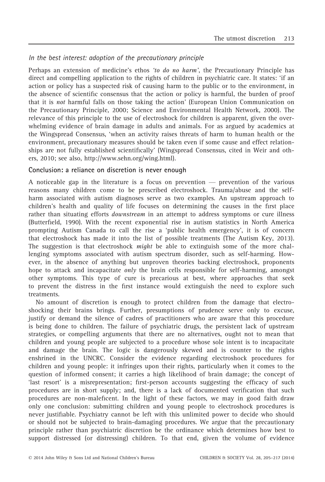# In the best interest: adoption of the precautionary principle

Perhaps an extension of medicine's ethos 'to do no harm', the Precautionary Principle has direct and compelling application to the rights of children in psychiatric care. It states: 'if an action or policy has a suspected risk of causing harm to the public or to the environment, in the absence of scientific consensus that the action or policy is harmful, the burden of proof that it is not harmful falls on those taking the action' (European Union Communication on the Precautionary Principle, 2000; Science and Environmental Health Network, 2000). The relevance of this principle to the use of electroshock for children is apparent, given the overwhelming evidence of brain damage in adults and animals. For as argued by academics at the Wingspread Consensus, 'when an activity raises threats of harm to human health or the environment, precautionary measures should be taken even if some cause and effect relationships are not fully established scientifically' (Wingspread Consensus, cited in Weir and others, 2010; see also, http://www.sehn.org/wing.html).

## Conclusion: a reliance on discretion is never enough

A noticeable gap in the literature is a focus on prevention — prevention of the various reasons many children come to be prescribed electroshock. Trauma/abuse and the selfharm associated with autism diagnoses serve as two examples. An upstream approach to children's health and quality of life focuses on determining the causes in the first place rather than situating efforts *downstream* in an attempt to address symptoms or cure illness (Butterfield, 1990). With the recent exponential rise in autism statistics in North America prompting Autism Canada to call the rise a 'public health emergency', it is of concern that electroshock has made it into the list of possible treatments (The Autism Key, 2013). The suggestion is that electroshock *might* be able to extinguish some of the more challenging symptoms associated with autism spectrum disorder, such as self-harming. However, in the absence of anything but unproven theories backing electroshock, proponents hope to attack and incapacitate *only* the brain cells responsible for self-harming, amongst other symptoms. This type of cure is precarious at best, where approaches that seek to prevent the distress in the first instance would extinguish the need to explore such treatments.

No amount of discretion is enough to protect children from the damage that electroshocking their brains brings. Further, presumptions of prudence serve only to excuse, justify or demand the silence of cadres of practitioners who are aware that this procedure is being done to children. The failure of psychiatric drugs, the persistent lack of upstream strategies, or compelling arguments that there are no alternatives, ought not to mean that children and young people are subjected to a procedure whose sole intent is to incapacitate and damage the brain. The logic is dangerously skewed and is counter to the rights enshrined in the UNCRC. Consider the evidence regarding electroshock procedures for children and young people: it infringes upon their rights, particularly when it comes to the question of informed consent; it carries a high likelihood of brain damage; the concept of 'last resort' is a misrepresentation; first-person accounts suggesting the efficacy of such procedures are in short supply; and, there is a lack of documented verification that such procedures are non-maleficent. In the light of these factors, we may in good faith draw only one conclusion: submitting children and young people to electroshock procedures is never justifiable. Psychiatry cannot be left with this unlimited power to decide who should or should not be subjected to brain-damaging procedures. We argue that the precautionary principle rather than psychiatric discretion be the ordinance which determines how best to support distressed (or distressing) children. To that end, given the volume of evidence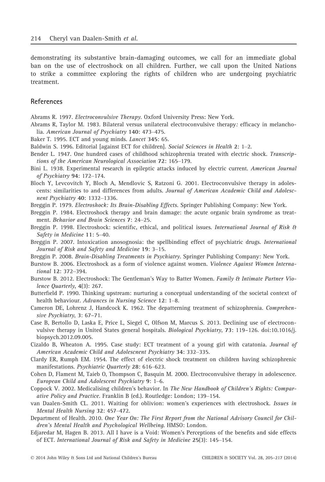demonstrating its substantive brain-damaging outcomes, we call for an immediate global ban on the use of electroshock on all children. Further, we call upon the United Nations to strike a committee exploring the rights of children who are undergoing psychiatric treatment.

#### References

Abrams R. 1997. Electroconvulsive Therapy. Oxford University Press: New York.

- Abrams R, Taylor M. 1983. Bilateral versus unilateral electroconvulsive therapy: efficacy in melancholia. American Journal of Psychiatry 140: 473–475.
- Baker T. 1995. ECT and young minds. Lancet 345: 65.
- Baldwin S. 1996. Editorial [against ECT for children]. Social Sciences in Health 2: 1–2.
- Bender L. 1947. One hundred cases of childhood schizophrenia treated with electric shock. Transcriptions of the American Neurological Association 72: 165–179.
- Bini L. 1938. Experimental research in epileptic attacks induced by electric current. American Journal of Psychiatry 94: 172–174.
- Bloch Y, Levcovitch Y, Bloch A, Mendlovic S, Ratzoni G. 2001. Electroconvulsive therapy in adolescents: similarities to and differences from adults. Journal of American Academic Child and Adolescnent Psychiatry 40: 1332–1336.
- Breggin P. 1979. Electroshock: Its Brain-Disabling Effects. Springer Publishing Company: New York.
- Breggin P. 1984. Electroshock therapy and brain damage: the acute organic brain syndrome as treatment. Behavior and Brain Sciences 7: 24–25.
- Breggin P. 1998. Electroshock: scientific, ethical, and political issues. International Journal of Risk & Safety in Medicine 11: 5–40.
- Breggin P. 2007. Intoxication anosognosia: the spellbinding effect of psychiatric drugs. International Journal of Risk and Safety and Medicine 19: 3–15.
- Breggin P. 2008. Brain-Disabling Treatments in Psychiatry. Springer Publishing Company: New York.
- Burstow B. 2006. Electroshock as a form of violence against women. Violence Against Women International 12: 372–394.
- Burstow B. 2012. Electroshock: The Gentleman's Way to Batter Women. Family & Intimate Partner Violence Quarterly, 4(3): 267.
- Butterfield P. 1990. Thinking upstream: nurturing a conceptual understanding of the societal context of health behaviour. Advances in Nursing Science 12: 1–8.
- Cameron DE, Lohrenz J, Handcock K. 1962. The depatterning treatment of schizophrenia. Comprehensive Psychiatry, 3: 67–71.
- Case B, Bertollo D, Laska E, Price L, Siegel C, Olfson M, Marcus S. 2013. Declining use of electroconvulsive therapy in United States general hospitals. Biological Psychiatry, 73: 119–126. doi:10.1016/j. biopsych.2012.09.005.
- Cizaldo B, Wheaton A. 1995. Case study: ECT treatment of a young girl with catatonia. Journal of American Academic Child and Adolescnent Psychiatry 34: 332–335.
- Clardy ER, Rumph EM. 1954. The effect of electric shock treatment on children having schizophrenic manifestations. Psychiatric Quarterly 28: 616–623.
- Cohen D, Flament M, Taieb O, Thompson C, Basquin M. 2000. Electroconvulsive therapy in adolescence. European Child and Adolescent Psychiatry 9: 1–6.
- Coppock V. 2002. Medicalising children's behavior. In The New Handbook of Children's Rights: Comparative Policy and Practice. Franklin B (ed.). Routledge: London; 139–154.
- van Daalen-Smith CL. 2011. Waiting for oblivion: women's experiences with electroshock. Issues in Mental Health Nursing 32: 457–472.
- Department of Health. 2010. One Year On: The First Report from the National Advisory Council for Children's Mental Health and Psychological Wellbeing. HMSO: London.
- Edjaredar M, Hagen B. 2013. All I have is a Void: Women's Perceptions of the benefits and side effects of ECT. International Journal of Risk and Safety in Medicine 25(3): 145–154.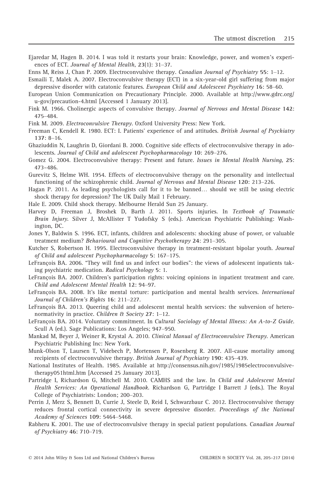- Ejaredar M, Hagen B. 2014. I was told it restarts your brain: Knowledge, power, and women's experiences of ECT. Journal of Mental Health, 23(1): 31–37.
- Enns M, Reiss J, Chan P. 2009. Electroconvulsive therapy. Canadian Journal of Psychiatry 55: 1–12.
- Esmaili T, Malek A. 2007. Electroconvulsive therapy (ECT) in a six-year-old girl suffering from major depressive disorder with catatonic features. European Child and Adolescent Psychiatry 16: 58–60.
- European Union Communication on Precautionary Principle. 2000. Available at http://www.gdrc.org/ u-gov/precaution-4.html [Accessed 1 January 2013].
- Fink M. 1966. Cholinergic aspects of convulsive therapy. Journal of Nervous and Mental Disease 142: 475–484.
- Fink M. 2009. Electroconvulsive Therapy. Oxford University Press: New York.
- Freeman C, Kendell R. 1980. ECT: I. Patients' experience of and attitudes. British Journal of Psychiatry 137: 8–16.
- Ghaziuddin N, Laughrin D, Giordani B. 2000. Cognitive side effects of electroconvulsive therapy in adolescents. Journal of Child and adolescent Psychopharmacology 10: 269–276.
- Gomez G. 2004. Electroconvulsive therapy: Present and future. Issues in Mental Health Nursing, 25: 473–486.
- Gurevitz S, Helme WH. 1954. Effects of electroconvulsive therapy on the personality and intellectual functioning of the schizophrenic child. Journal of Nervous and Mental Disease 120: 213–226.
- Hagan P. 2011. As leading psychologists call for it to be banned… should we still be using electric shock therapy for depression? The UK Daily Mail 1 February.
- Hale E. 2009. Child shock therapy. Melbourne Herald Sun 25 January.
- Harvey D, Freeman J, Broshek D, Barth J. 2011. Sports injuries. In Textbook of Traumatic Brain Injury. Silver J, McAllister T Yudofsky S (eds.). American Psychiatric Publishing: Washington, DC.
- Jones Y, Baldwin S. 1996. ECT, infants, children and adolescents: shocking abuse of power, or valuable treatment medium? Behavioural and Cognitive Psychotherapy 24: 291–305.
- Kutcher S, Robertson H. 1995. Electroconvulsive therapy in treatment-resistant bipolar youth. Journal of Child and adolescent Psychopharmacology 5: 167–175.
- LeFrancois BA. 2006. "They will find us and infect our bodies": the views of adolescent inpatients taking psychiatric medication. Radical Psychology 5: 1.
- LeFrancois BA. 2007. Children's participation rights: voicing opinions in inpatient treatment and care. Child and Adolescent Mental Health 12: 94–97.
- LeFrancois BA. 2008. It's like mental torture: participation and mental health services. International Journal of Children's Rights 16: 211–227.
- LeFrancois BA. 2013. Queering child and adolescent mental health services: the subversion of heteronormativity in practice. Children & Society 27: 1–12.
- LeFrancois BA. 2014. Voluntary commitment. In Cultural Sociology of Mental Illness: An A-to-Z Guide. Scull A (ed.). Sage Publications: Los Angeles; 947–950.
- Mankad M, Beyer J, Weiner R, Krystal A. 2010. Clinical Manual of Electroconvulsive Therapy. American Psychiatric Publishing Inc: New York.
- Munk-Olson T, Laursen T, Videbech P, Mortensen P, Rosenberg R. 2007. All-cause mortality among recipients of electroconvulsive therapy. British Journal of Psychiatry 190: 435–439.
- National Institutes of Health. 1985. Available at http://consensus.nih.gov/1985/1985electroconvulsivetherapy051html.htm [Accessed 25 January 2013].
- Partridge I, Richardson G, Mitchell M. 2010. CAMHS and the law. In Child and Adolescent Mental Health Services: An Operational Handbook. Richardson G, Partridge I Barrett J (eds.). The Royal College of Psychiatrists: London; 200–203.
- Perrin J, Merz S, Bennett D, Currie J, Steele D, Reid I, Schwarzbaur C. 2012. Electroconvulsive therapy reduces frontal cortical connectivity in severe depressive disorder. Proceedings of the National Academy of Sciences 109: 5464–5468.
- Rabheru K. 2001. The use of electroconvulsive therapy in special patient populations. Canadian Journal of Psychiatry 46: 710–719.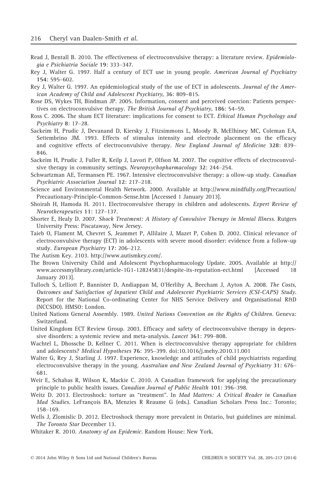- Read J, Bentall B. 2010. The effectiveness of electroconvulsive therapy: a literature review. Epidemiologia e Psichiatria Sociale 19: 333–347.
- Rey J, Walter G. 1997. Half a century of ECT use in young people. American Journal of Psychiatry 154: 595–602.
- Rey J, Walter G. 1997. An epidemiological study of the use of ECT in adolescents. Journal of the American Academy of Child and Adolescent Psychiatry, 36: 809–815.
- Rose DS, Wykes TH, Bindman JP. 2005. Information, consent and perceived coercion: Patients perspectives on electroconvulsive therapy. The British Journal of Psychiatry, 186: 54–59.
- Ross C. 2006. The sham ECT literature: implications for consent to ECT. Ethical Human Psychology and Psychiatry 8: 17–28.
- Sackeim H, Prudic J, Devanand D, Kiersky J, Fitzsimmons L, Moody B, McElhiney MC, Coleman EA, Settembrino JM. 1993. Effects of stimulus intensity and electrode placement on the efficacy and cognitive effects of electroconvulsive therapy. New England Journal of Medicine 328: 839-846.
- Sackeim H, Prudic J, Fuller R, Keilp J, Lavori P, Olfson M. 2007. The cognitive effects of electroconvulsive therapy in community settings. Neuropsychopharmacology 32: 244–254.
- Schwartzman AE, Termansen PE. 1967. Intensive electroconvulsive therapy: a ollow-up study. Canadian Psychiatric Association Journal 12: 217–218.
- Science and Environmental Health Network. 2000. Available at http://www.mindfully.org/Precaution/ Precautionary-Principle-Common-Sense.htm [Accessed 1 January 2013].
- Shoirah H, Hamoda H. 2011. Electroconvulsive therapy in children and adolescents. Expert Review of Neurotherapeutics 11: 127–137.
- Shorter E, Healy D. 2007. Shock Treatment: A History of Convulsive Therapy in Mental Illness. Rutgers University Press: Piscataway, New Jersey.
- Taieb O, Flament M, Chevret S, Jeammet P, Allilaire J, Mazet P, Cohen D. 2002. Clinical relevance of electroconvulsive therapy (ECT) in adolescents with severe mood disorder: evidence from a follow-up study. European Psychiatry 17: 206–212.
- The Autism Key. 2103. http://www.autismkey.com/.
- The Brown University Child and Adolescent Psychopharmacology Update. 2005. Available at http:// www.accessmylibrary.com/article-1G1-128245831/despite-its-reputation-ect.html [Accessed 18 January 2013].
- Tulloch S, Lelliott P, Bannister D, Andiappan M, O'Herlihy A, Beecham J, Ayton A. 2008. The Costs, Outcomes and Satisfaction of Inpatient Child and Adolescent Psychiatric Services (CSI-CAPS) Study. Report for the National Co-ordinating Center for NHS Service Delivery and Organisational R&D (NCCSDO). HMSO: London.
- United Nations General Assembly. 1989. United Nations Convention on the Rights of Children. Geneva: Switzerland.
- United Kingdom ECT Review Group. 2003. Efficacy and safety of electroconvulsive therapy in depressive disorders: a systemic review and meta-analysis. Lancet 361: 799–808.
- Wachtel L, Dhossche D, Kellner C. 2011. When is electroconvulsive therapy appropriate for children and adolescents? Medical Hypotheses 76: 395–399. doi:10.1016/j.mehy.2010.11.001
- Walter G, Rey J, Starling J. 1997. Experience, knowledge and attitudes of child psychiatrists regarding electroconvulsive therapy in the young. Australian and New Zealand Journal of Psychiatry 31: 676– 681.
- Weir E, Schabas R, Wilson K, Mackie C. 2010. A Canadian framework for applying the precautionary principle to public health issues. Canadian Journal of Public Health 101: 396–398.
- Weitz D. 2013. Electroshock: torture as "treatment". In Mad Matters: A Critical Reader in Canadian Mad Studies. LeFrancois BA, Menzies R Reaume G (eds.). Canadian Scholars Press Inc.: Toronto; 158–169.
- Wells J, Zlomislic D. 2012. Electroshock therapy more prevalent in Ontario, but guidelines are minimal. The Toronto Star December 13.
- Whitaker R. 2010. Anatomy of an Epidemic. Random House: New York.